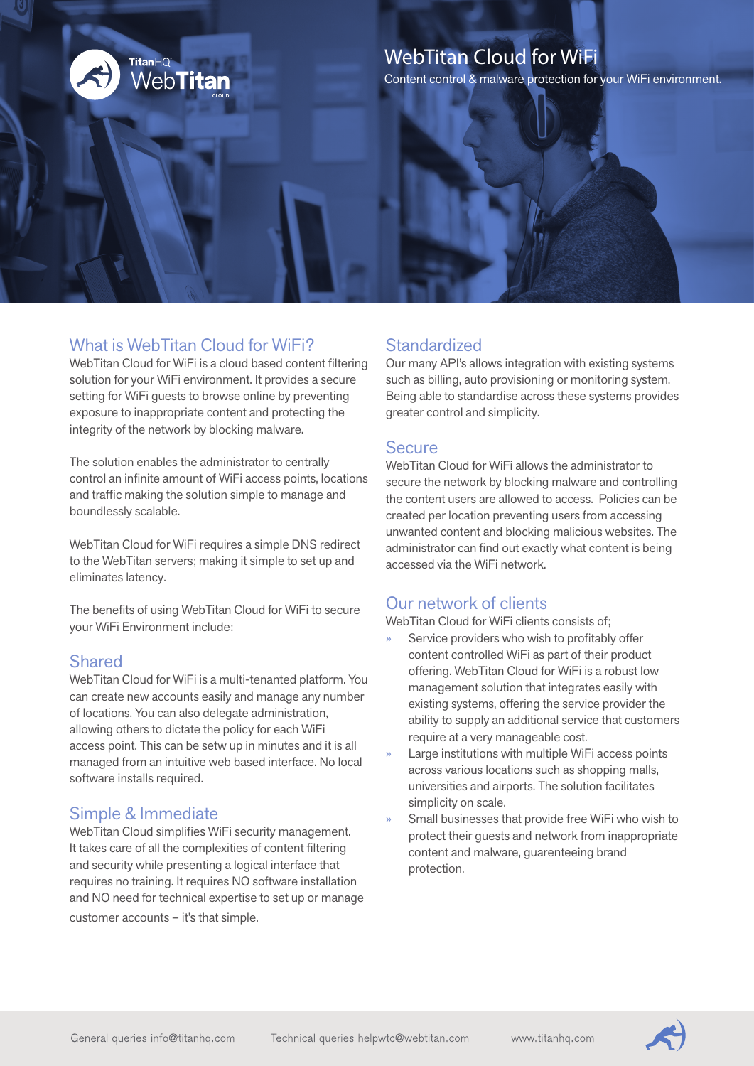

## WebTitan Cloud for WiFi

Content control & malware protection for your WiFi environment.

## What is WebTitan Cloud for WiFi?

WebTitan Cloud for WiFi is a cloud based content filtering solution for your WiFi environment. It provides a secure setting for WiFi guests to browse online by preventing exposure to inappropriate content and protecting the integrity of the network by blocking malware.

The solution enables the administrator to centrally control an infinite amount of WiFi access points, locations and traffic making the solution simple to manage and boundlessly scalable.

WebTitan Cloud for WiFi requires a simple DNS redirect to the WebTitan servers; making it simple to set up and eliminates latency.

The benefits of using WebTitan Cloud for WiFi to secure your WiFi Environment include:

### Shared

WebTitan Cloud for WiFi is a multi-tenanted platform. You can create new accounts easily and manage any number of locations. You can also delegate administration, allowing others to dictate the policy for each WiFi access point. This can be setw up in minutes and it is all managed from an intuitive web based interface. No local software installs required.

## Simple & Immediate

WebTitan Cloud simplifies WiFi security management. It takes care of all the complexities of content filtering and security while presenting a logical interface that requires no training. It requires NO software installation and NO need for technical expertise to set up or manage customer accounts – it's that simple.

## **Standardized**

Our many API's allows integration with existing systems such as billing, auto provisioning or monitoring system. Being able to standardise across these systems provides greater control and simplicity.

#### **Secure**

WebTitan Cloud for WiFi allows the administrator to secure the network by blocking malware and controlling the content users are allowed to access. Policies can be created per location preventing users from accessing unwanted content and blocking malicious websites. The administrator can find out exactly what content is being accessed via the WiFi network.

## Our network of clients

WebTitan Cloud for WiFi clients consists of;

- Service providers who wish to profitably offer content controlled WiFi as part of their product offering. WebTitan Cloud for WiFi is a robust low management solution that integrates easily with existing systems, offering the service provider the ability to supply an additional service that customers require at a very manageable cost.
- Large institutions with multiple WiFi access points across various locations such as shopping malls, universities and airports. The solution facilitates simplicity on scale.
- Small businesses that provide free WiFi who wish to protect their guests and network from inappropriate content and malware, guarenteeing brand protection.

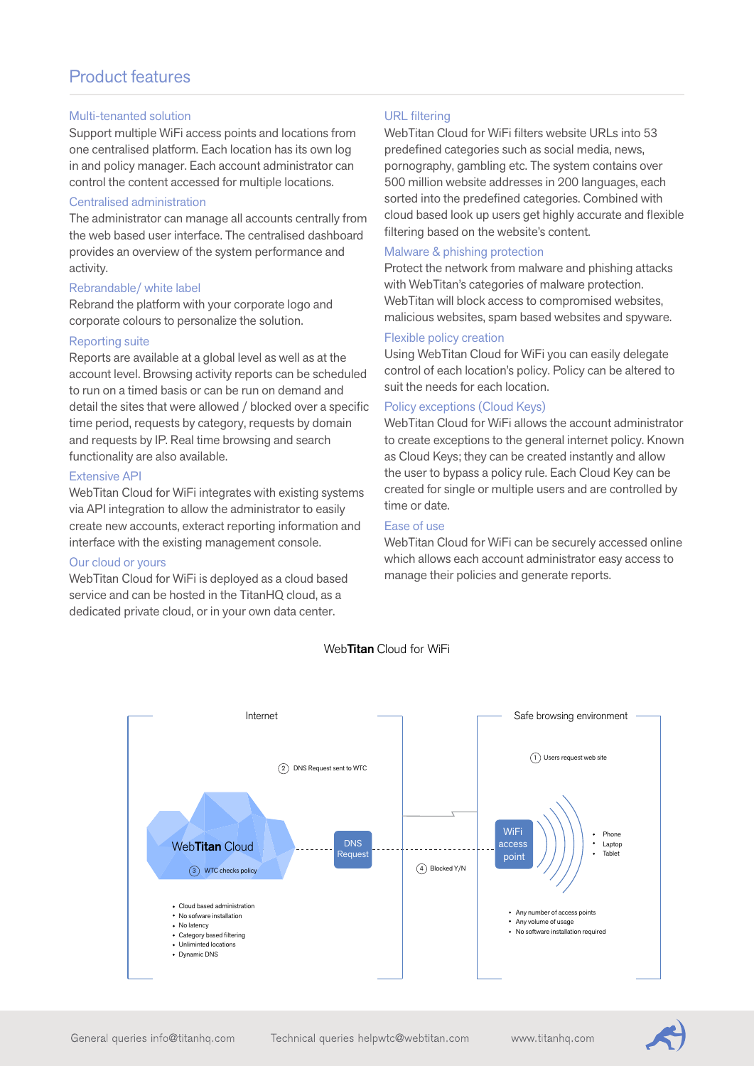## Product features

#### Multi-tenanted solution

Support multiple WiFi access points and locations from one centralised platform. Each location has its own log in and policy manager. Each account administrator can control the content accessed for multiple locations.

#### Centralised administration

The administrator can manage all accounts centrally from the web based user interface. The centralised dashboard provides an overview of the system performance and activity.

#### Rebrandable/ white label

Rebrand the platform with your corporate logo and corporate colours to personalize the solution.

#### Reporting suite

Reports are available at a global level as well as at the account level. Browsing activity reports can be scheduled to run on a timed basis or can be run on demand and detail the sites that were allowed / blocked over a specific time period, requests by category, requests by domain and requests by IP. Real time browsing and search functionality are also available.

#### Extensive API

WebTitan Cloud for WiFi integrates with existing systems via API integration to allow the administrator to easily create new accounts, exteract reporting information and interface with the existing management console.

#### Our cloud or yours

WebTitan Cloud for WiFi is deployed as a cloud based service and can be hosted in the TitanHQ cloud, as a dedicated private cloud, or in your own data center.

#### URL filtering

WebTitan Cloud for WiFi filters website URLs into 53 predefined categories such as social media, news, pornography, gambling etc. The system contains over 500 million website addresses in 200 languages, each sorted into the predefined categories. Combined with cloud based look up users get highly accurate and flexible filtering based on the website's content.

#### Malware & phishing protection

Protect the network from malware and phishing attacks with WebTitan's categories of malware protection. WebTitan will block access to compromised websites, malicious websites, spam based websites and spyware.

#### Flexible policy creation

Using WebTitan Cloud for WiFi you can easily delegate control of each location's policy. Policy can be altered to suit the needs for each location.

#### Policy exceptions (Cloud Keys)

WebTitan Cloud for WiFi allows the account administrator to create exceptions to the general internet policy. Known as Cloud Keys; they can be created instantly and allow the user to bypass a policy rule. Each Cloud Key can be created for single or multiple users and are controlled by time or date.

#### Ease of use

WebTitan Cloud for WiFi can be securely accessed online which allows each account administrator easy access to manage their policies and generate reports.



#### Web**Titan** Cloud for WiFi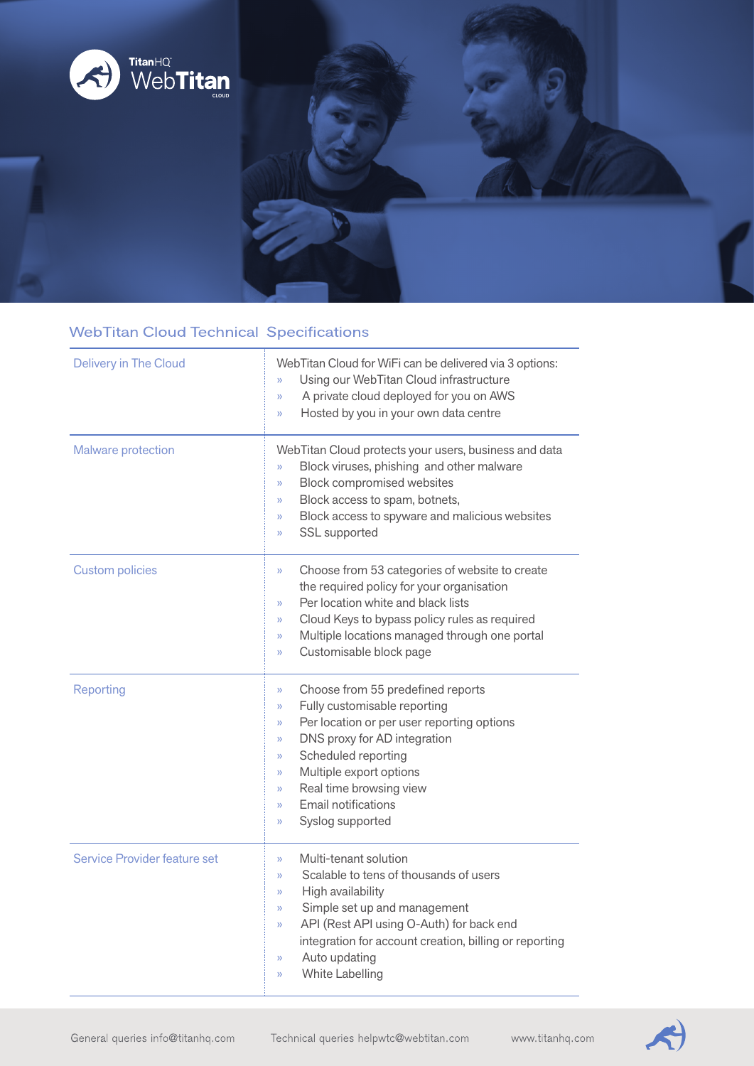

## **WebTitan Cloud Technical Specifications**

| <b>Delivery in The Cloud</b> | WebTitan Cloud for WiFi can be delivered via 3 options:<br>Using our WebTitan Cloud infrastructure<br>y)<br>A private cloud deployed for you on AWS<br>$\mathcal{V}$<br>Hosted by you in your own data centre<br>X)                                                                                                                                                                       |
|------------------------------|-------------------------------------------------------------------------------------------------------------------------------------------------------------------------------------------------------------------------------------------------------------------------------------------------------------------------------------------------------------------------------------------|
| Malware protection           | WebTitan Cloud protects your users, business and data<br>Block viruses, phishing and other malware<br>$\lambda$<br>Block compromised websites<br>$\lambda$<br>Block access to spam, botnets,<br>$\lambda$<br>Block access to spyware and malicious websites<br>$\mathcal{V}$<br>SSL supported<br>X)                                                                                       |
| <b>Custom policies</b>       | Choose from 53 categories of website to create<br>$\mathcal{V}$<br>the required policy for your organisation<br>Per location white and black lists<br>$\lambda$<br>Cloud Keys to bypass policy rules as required<br>$\rangle$<br>Multiple locations managed through one portal<br>$\lambda$<br>Customisable block page<br>X)                                                              |
| Reporting                    | Choose from 55 predefined reports<br>$\rangle$<br>Fully customisable reporting<br>$\mathcal{V}$<br>Per location or per user reporting options<br>$\mathcal{V}$<br>DNS proxy for AD integration<br>$\gg$<br>Scheduled reporting<br>$\rangle$<br>Multiple export options<br>$\gg$<br>Real time browsing view<br>$\mathcal{V}$<br>Email notifications<br>$\lambda$<br>Syslog supported<br>X) |
| Service Provider feature set | Multi-tenant solution<br>X)<br>Scalable to tens of thousands of users<br>X)<br>High availability<br>$\gg$<br>Simple set up and management<br>$\gg$<br>API (Rest API using O-Auth) for back end<br>$\rangle$<br>integration for account creation, billing or reporting<br>Auto updating<br>$\mathcal{V}$<br>White Labelling<br>$\rangle$                                                   |